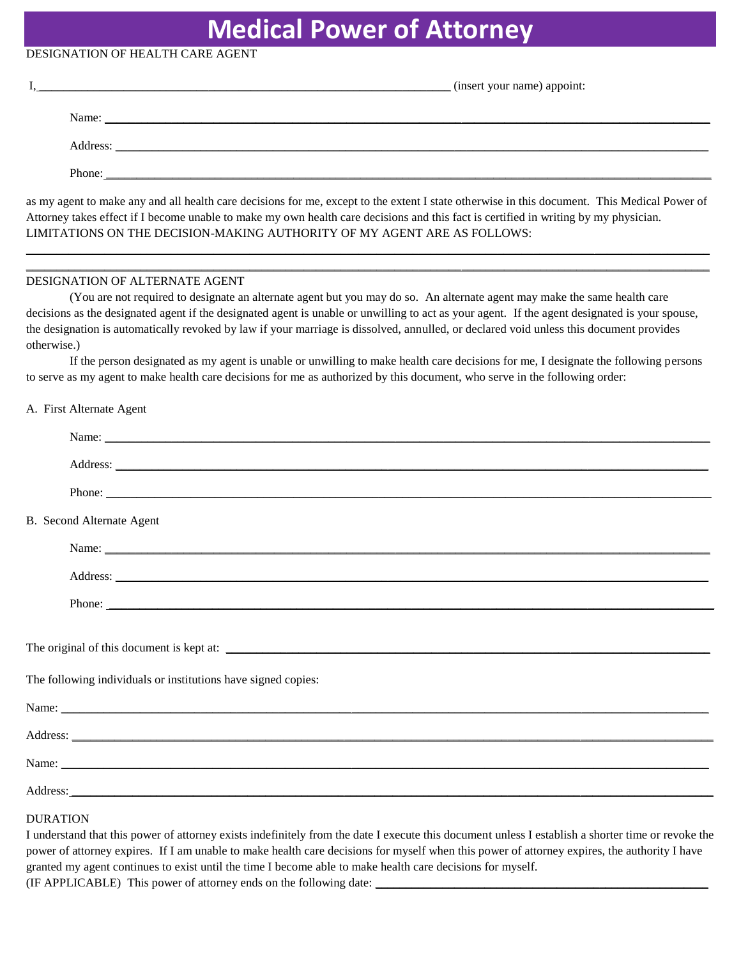## **Medical Power of Attorney**

### DESIGNATION OF HEALTH CARE AGENT

|          | (insert your name) appoint:                                                                                          |
|----------|----------------------------------------------------------------------------------------------------------------------|
| Name:    | <u> 1990 - 1991 - 1992 - 1993 - 1994 - 1995 - 1996 - 1997 - 1998 - 1999 - 1999 - 1999 - 1999 - 1999 - 1999 - 199</u> |
| Address: | <u> 1980 - John Stein, Amerikaansk konstantinopler († 1952)</u>                                                      |
| Phone:   |                                                                                                                      |

as my agent to make any and all health care decisions for me, except to the extent I state otherwise in this document. This Medical Power of Attorney takes effect if I become unable to make my own health care decisions and this fact is certified in writing by my physician. LIMITATIONS ON THE DECISION-MAKING AUTHORITY OF MY AGENT ARE AS FOLLOWS:

\_\_\_\_\_\_\_\_\_\_\_\_\_\_\_\_\_\_\_\_\_\_\_\_\_\_\_\_\_\_\_\_\_\_\_\_\_\_\_\_\_\_\_\_\_\_\_\_\_\_\_\_\_\_\_\_\_\_\_\_\_\_\_\_\_\_\_\_\_\_\_\_\_\_\_\_\_\_\_\_\_\_\_\_\_\_\_\_\_\_\_\_\_\_\_\_\_\_\_\_\_\_\_\_\_\_\_\_\_\_\_\_\_  $\_$  , and the set of the set of the set of the set of the set of the set of the set of the set of the set of the set of the set of the set of the set of the set of the set of the set of the set of the set of the set of th

#### DESIGNATION OF ALTERNATE AGENT

(You are not required to designate an alternate agent but you may do so. An alternate agent may make the same health care decisions as the designated agent if the designated agent is unable or unwilling to act as your agent. If the agent designated is your spouse, the designation is automatically revoked by law if your marriage is dissolved, annulled, or declared void unless this document provides otherwise.)

If the person designated as my agent is unable or unwilling to make health care decisions for me, I designate the following persons to serve as my agent to make health care decisions for me as authorized by this document, who serve in the following order:

#### A. First Alternate Agent

|                                                               | Name: Name: Name: Name: Name: Name: Name: Name: Name: Name: Name: Name: Name: Name: Name: Name: Name: Name: Name: Name: Name: Name: Name: Name: Name: Name: Name: Name: Name: Name: Name: Name: Name: Name: Name: Name: Name:        |
|---------------------------------------------------------------|--------------------------------------------------------------------------------------------------------------------------------------------------------------------------------------------------------------------------------------|
|                                                               |                                                                                                                                                                                                                                      |
|                                                               |                                                                                                                                                                                                                                      |
| B. Second Alternate Agent                                     |                                                                                                                                                                                                                                      |
|                                                               | Name: Name:                                                                                                                                                                                                                          |
|                                                               | Address: <u>New York: Address:</u> New York: 2008                                                                                                                                                                                    |
|                                                               |                                                                                                                                                                                                                                      |
|                                                               |                                                                                                                                                                                                                                      |
|                                                               | The original of this document is kept at:                                                                                                                                                                                            |
| The following individuals or institutions have signed copies: |                                                                                                                                                                                                                                      |
|                                                               | Name: <u>the contract of the contract of the contract of the contract of the contract of the contract of the contract of the contract of the contract of the contract of the contract of the contract of the contract of the con</u> |
|                                                               | Address: Note and the contract of the contract of the contract of the contract of the contract of the contract of the contract of the contract of the contract of the contract of the contract of the contract of the contract       |
|                                                               | Name: Name: Name: Name: Name: Name: Name: Name: Name: Name: Name: Name: Name: Name: Name: Name: Name: Name: Name: Name: Name: Name: Name: Name: Name: Name: Name: Name: Name: Name: Name: Name: Name: Name: Name: Name: Name:        |
|                                                               | Address: <u>The Community of the Community of the Community of the Community of the Community of the Community of the Community of the Community of the Community of the Community of the Community of the Community of the Comm</u> |
| <b>DURATION</b>                                               |                                                                                                                                                                                                                                      |
|                                                               | I understand that this nower of attorney exists indefinitely from the date I execute this document unless I establish a shorter time or revoke the                                                                                   |

I understand that this power of attorney exists indefinitely from the date I execute this document unless I establish power of attorney expires. If I am unable to make health care decisions for myself when this power of attorney expires, the authority I have granted my agent continues to exist until the time I become able to make health care decisions for myself.

(IF APPLICABLE) This power of attorney ends on the following date: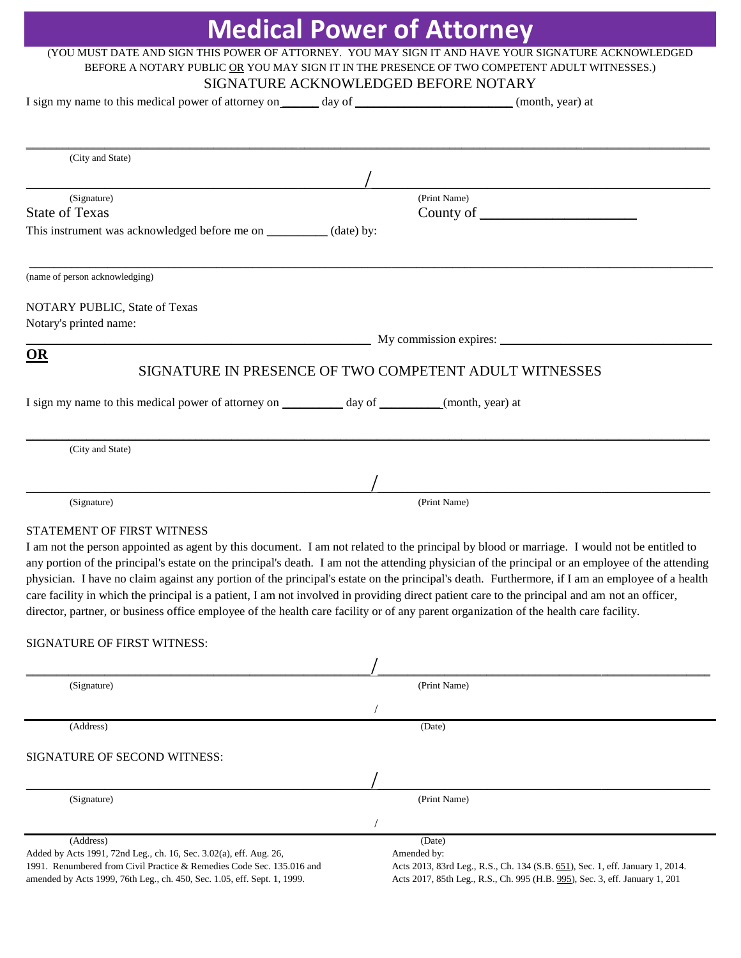|                                                                                                                                               | <b>Medical Power of Attorney</b>                                                                                                                  |
|-----------------------------------------------------------------------------------------------------------------------------------------------|---------------------------------------------------------------------------------------------------------------------------------------------------|
|                                                                                                                                               | (YOU MUST DATE AND SIGN THIS POWER OF ATTORNEY. YOU MAY SIGN IT AND HAVE YOUR SIGNATURE ACKNOWLEDGED                                              |
|                                                                                                                                               | BEFORE A NOTARY PUBLIC OR YOU MAY SIGN IT IN THE PRESENCE OF TWO COMPETENT ADULT WITNESSES.)                                                      |
|                                                                                                                                               | SIGNATURE ACKNOWLEDGED BEFORE NOTARY                                                                                                              |
| I sign my name to this medical power of attorney on _______ day of ___________________________(month, year) at                                |                                                                                                                                                   |
|                                                                                                                                               |                                                                                                                                                   |
|                                                                                                                                               |                                                                                                                                                   |
| (City and State)                                                                                                                              |                                                                                                                                                   |
|                                                                                                                                               |                                                                                                                                                   |
| (Signature)                                                                                                                                   | (Print Name)                                                                                                                                      |
| <b>State of Texas</b>                                                                                                                         |                                                                                                                                                   |
| This instrument was acknowledged before me on ___________ (date) by:                                                                          |                                                                                                                                                   |
|                                                                                                                                               |                                                                                                                                                   |
| (name of person acknowledging)                                                                                                                |                                                                                                                                                   |
|                                                                                                                                               |                                                                                                                                                   |
| NOTARY PUBLIC, State of Texas                                                                                                                 |                                                                                                                                                   |
| Notary's printed name:                                                                                                                        |                                                                                                                                                   |
|                                                                                                                                               | My commission expires:                                                                                                                            |
| <b>OR</b>                                                                                                                                     | SIGNATURE IN PRESENCE OF TWO COMPETENT ADULT WITNESSES                                                                                            |
|                                                                                                                                               |                                                                                                                                                   |
|                                                                                                                                               |                                                                                                                                                   |
|                                                                                                                                               |                                                                                                                                                   |
|                                                                                                                                               |                                                                                                                                                   |
| (City and State)                                                                                                                              |                                                                                                                                                   |
|                                                                                                                                               |                                                                                                                                                   |
|                                                                                                                                               |                                                                                                                                                   |
| (Signature)                                                                                                                                   | (Print Name)                                                                                                                                      |
| STATEMENT OF FIRST WITNESS                                                                                                                    |                                                                                                                                                   |
| I am not the person appointed as agent by this document. I am not related to the principal by blood or marriage. I would not be entitled to   |                                                                                                                                                   |
|                                                                                                                                               | any portion of the principal's estate on the principal's death. I am not the attending physician of the principal or an employee of the attending |
|                                                                                                                                               | physician. I have no claim against any portion of the principal's estate on the principal's death. Furthermore, if I am an employee of a health   |
| care facility in which the principal is a patient, I am not involved in providing direct patient care to the principal and am not an officer, |                                                                                                                                                   |
| director, partner, or business office employee of the health care facility or of any parent organization of the health care facility.         |                                                                                                                                                   |
|                                                                                                                                               |                                                                                                                                                   |
| SIGNATURE OF FIRST WITNESS:                                                                                                                   |                                                                                                                                                   |
|                                                                                                                                               |                                                                                                                                                   |
| (Signature)                                                                                                                                   | (Print Name)                                                                                                                                      |
|                                                                                                                                               |                                                                                                                                                   |
| (Address)                                                                                                                                     | (Date)                                                                                                                                            |
|                                                                                                                                               |                                                                                                                                                   |
| SIGNATURE OF SECOND WITNESS:                                                                                                                  |                                                                                                                                                   |
|                                                                                                                                               |                                                                                                                                                   |
| (Signature)                                                                                                                                   | (Print Name)                                                                                                                                      |
|                                                                                                                                               |                                                                                                                                                   |
|                                                                                                                                               |                                                                                                                                                   |
| (Address)<br>Added by Acts 1991, 72nd Leg., ch. 16, Sec. 3.02(a), eff. Aug. 26,                                                               | (Date)<br>Amended by:                                                                                                                             |
| 1991. Renumbered from Civil Practice & Remedies Code Sec. 135.016 and                                                                         | Acts 2013, 83rd Leg., R.S., Ch. 134 (S.B. 651), Sec. 1, eff. January 1, 2014.                                                                     |

amended by Acts 1999, 76th Leg., ch. 450, Sec. 1.05, eff. Sept. 1, 1999.

Acts 2017, 85th Leg., R.S., Ch. 995 (H.B[. 995\)](http://www.legis.state.tx.us/tlodocs/85R/billtext/html/HB00995F.HTM), Sec. 3, eff. January 1, 201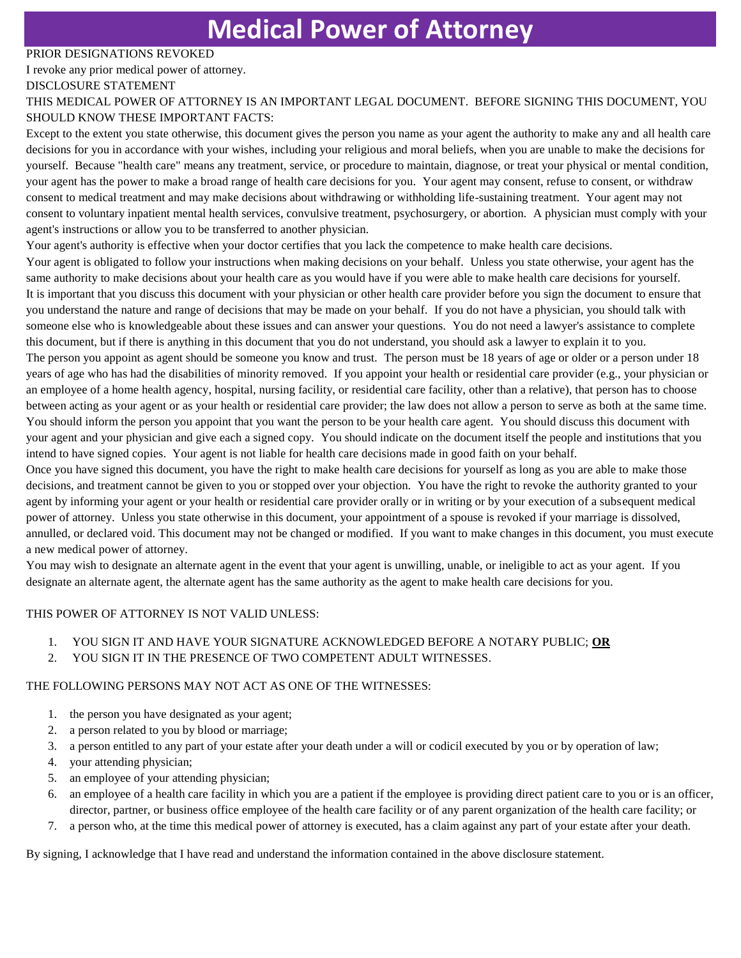## **Medical Power of Attorney**

#### PRIOR DESIGNATIONS REVOKED

I revoke any prior medical power of attorney.

#### DISCLOSURE STATEMENT

#### THIS MEDICAL POWER OF ATTORNEY IS AN IMPORTANT LEGAL DOCUMENT. BEFORE SIGNING THIS DOCUMENT, YOU SHOULD KNOW THESE IMPORTANT FACTS:

Except to the extent you state otherwise, this document gives the person you name as your agent the authority to make any and all health care decisions for you in accordance with your wishes, including your religious and moral beliefs, when you are unable to make the decisions for yourself. Because "health care" means any treatment, service, or procedure to maintain, diagnose, or treat your physical or mental condition, your agent has the power to make a broad range of health care decisions for you. Your agent may consent, refuse to consent, or withdraw consent to medical treatment and may make decisions about withdrawing or withholding life-sustaining treatment. Your agent may not consent to voluntary inpatient mental health services, convulsive treatment, psychosurgery, or abortion. A physician must comply with your agent's instructions or allow you to be transferred to another physician.

Your agent's authority is effective when your doctor certifies that you lack the competence to make health care decisions.

Your agent is obligated to follow your instructions when making decisions on your behalf. Unless you state otherwise, your agent has the same authority to make decisions about your health care as you would have if you were able to make health care decisions for yourself. It is important that you discuss this document with your physician or other health care provider before you sign the document to ensure that you understand the nature and range of decisions that may be made on your behalf. If you do not have a physician, you should talk with someone else who is knowledgeable about these issues and can answer your questions. You do not need a lawyer's assistance to complete this document, but if there is anything in this document that you do not understand, you should ask a lawyer to explain it to you.

The person you appoint as agent should be someone you know and trust. The person must be 18 years of age or older or a person under 18 years of age who has had the disabilities of minority removed. If you appoint your health or residential care provider (e.g., your physician or an employee of a home health agency, hospital, nursing facility, or residential care facility, other than a relative), that person has to choose between acting as your agent or as your health or residential care provider; the law does not allow a person to serve as both at the same time. You should inform the person you appoint that you want the person to be your health care agent. You should discuss this document with your agent and your physician and give each a signed copy. You should indicate on the document itself the people and institutions that you intend to have signed copies. Your agent is not liable for health care decisions made in good faith on your behalf.

Once you have signed this document, you have the right to make health care decisions for yourself as long as you are able to make those decisions, and treatment cannot be given to you or stopped over your objection. You have the right to revoke the authority granted to your agent by informing your agent or your health or residential care provider orally or in writing or by your execution of a subsequent medical power of attorney. Unless you state otherwise in this document, your appointment of a spouse is revoked if your marriage is dissolved, annulled, or declared void. This document may not be changed or modified. If you want to make changes in this document, you must execute a new medical power of attorney.

You may wish to designate an alternate agent in the event that your agent is unwilling, unable, or ineligible to act as your agent. If you designate an alternate agent, the alternate agent has the same authority as the agent to make health care decisions for you.

#### THIS POWER OF ATTORNEY IS NOT VALID UNLESS:

#### 1. YOU SIGN IT AND HAVE YOUR SIGNATURE ACKNOWLEDGED BEFORE A NOTARY PUBLIC; **OR**

2. YOU SIGN IT IN THE PRESENCE OF TWO COMPETENT ADULT WITNESSES.

#### THE FOLLOWING PERSONS MAY NOT ACT AS ONE OF THE WITNESSES:

- 1. the person you have designated as your agent;
- 2. a person related to you by blood or marriage;
- 3. a person entitled to any part of your estate after your death under a will or codicil executed by you or by operation of law;
- 4. your attending physician;
- 5. an employee of your attending physician;
- 6. an employee of a health care facility in which you are a patient if the employee is providing direct patient care to you or is an officer, director, partner, or business office employee of the health care facility or of any parent organization of the health care facility; or
- 7. a person who, at the time this medical power of attorney is executed, has a claim against any part of your estate after your death.

By signing, I acknowledge that I have read and understand the information contained in the above disclosure statement.